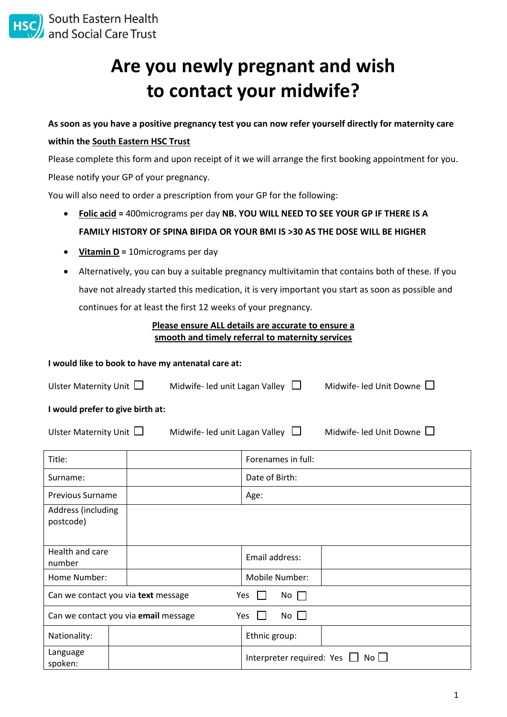

# **Are you newly pregnant and wish to contact your midwife?**

**As soon as you have a positive pregnancy test you can now refer yourself directly for maternity care within the South Eastern HSC Trust**

Please complete this form and upon receipt of it we will arrange the first booking appointment for you. Please notify your GP of your pregnancy.

You will also need to order a prescription from your GP for the following:

- **Folic acid =** 400micrograms per day **NB. YOU WILL NEED TO SEE YOUR GP IF THERE IS A FAMILY HISTORY OF SPINA BIFIDA OR YOUR BMI IS >30 AS THE DOSE WILL BE HIGHER**
- **Vitamin D =** 10micrograms per day
- Alternatively, you can buy a suitable pregnancy multivitamin that contains both of these. If you have not already started this medication, it is very important you start as soon as possible and continues for at least the first 12 weeks of your pregnancy.

## **Please ensure ALL details are accurate to ensure a smooth and timely referral to maternity services**

#### **I would like to book to have my antenatal care at:**

| Ulster Maternity Unit $\Box$     | Midwife- led unit Lagan Valley $\Box$ | Midwife- led Unit Downe $\square$ |  |
|----------------------------------|---------------------------------------|-----------------------------------|--|
| I would prefer to give birth at: |                                       |                                   |  |
| Ulster Maternity Unit $\Box$     | Midwife- led unit Lagan Valley        | Midwife- led Unit Downe           |  |

| Title:                                                            |  |  | Forenames in full:               |             |  |
|-------------------------------------------------------------------|--|--|----------------------------------|-------------|--|
| Surname:                                                          |  |  | Date of Birth:                   |             |  |
| <b>Previous Surname</b>                                           |  |  | Age:                             |             |  |
| Address (including<br>postcode)                                   |  |  |                                  |             |  |
| Health and care<br>number                                         |  |  | Email address:                   |             |  |
| Home Number:                                                      |  |  | Mobile Number:                   |             |  |
| Can we contact you via text message<br>Yes<br>$No$ $\Box$         |  |  |                                  |             |  |
| Can we contact you via email message<br>$No$ $\Box$<br><b>Yes</b> |  |  |                                  |             |  |
| Nationality:                                                      |  |  | Ethnic group:                    |             |  |
| Language<br>spoken:                                               |  |  | Interpreter required: Yes $\Box$ | $No$ $\Box$ |  |